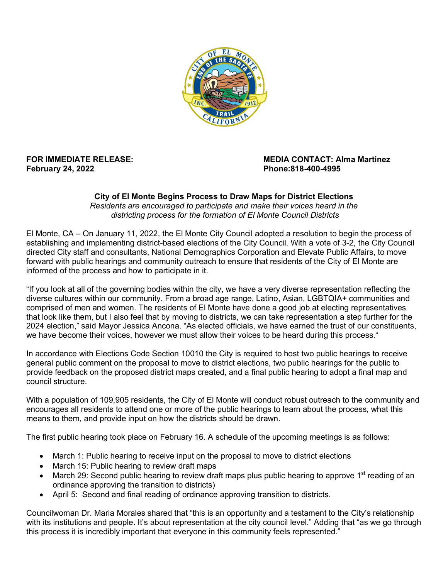

## **February 24, 2022 Phone:818-400-4995**

## **FOR IMMEDIATE RELEASE: MEDIA CONTACT: Alma Martinez**

## **City of El Monte Begins Process to Draw Maps for District Elections** *Residents are encouraged to participate and make their voices heard in the districting process for the formation of El Monte Council Districts*

El Monte, CA – On January 11, 2022, the El Monte City Council adopted a resolution to begin the process of establishing and implementing district-based elections of the City Council. With a vote of 3-2, the City Council directed City staff and consultants, National Demographics Corporation and Elevate Public Affairs, to move forward with public hearings and community outreach to ensure that residents of the City of El Monte are informed of the process and how to participate in it.

"If you look at all of the governing bodies within the city, we have a very diverse representation reflecting the diverse cultures within our community. From a broad age range, Latino, Asian, LGBTQIA+ communities and comprised of men and women. The residents of El Monte have done a good job at electing representatives that look like them, but I also feel that by moving to districts, we can take representation a step further for the 2024 election," said Mayor Jessica Ancona. "As elected officials, we have earned the trust of our constituents, we have become their voices, however we must allow their voices to be heard during this process."

In accordance with Elections Code Section 10010 the City is required to host two public hearings to receive general public comment on the proposal to move to district elections, two public hearings for the public to provide feedback on the proposed district maps created, and a final public hearing to adopt a final map and council structure.

With a population of 109,905 residents, the City of El Monte will conduct robust outreach to the community and encourages all residents to attend one or more of the public hearings to learn about the process, what this means to them, and provide input on how the districts should be drawn.

The first public hearing took place on February 16. A schedule of the upcoming meetings is as follows:

- March 1: Public hearing to receive input on the proposal to move to district elections
- March 15: Public hearing to review draft maps
- March 29: Second public hearing to review draft maps plus public hearing to approve 1<sup>st</sup> reading of an ordinance approving the transition to districts)
- April 5: Second and final reading of ordinance approving transition to districts.

Councilwoman Dr. Maria Morales shared that "this is an opportunity and a testament to the City's relationship with its institutions and people. It's about representation at the city council level." Adding that "as we go through this process it is incredibly important that everyone in this community feels represented."